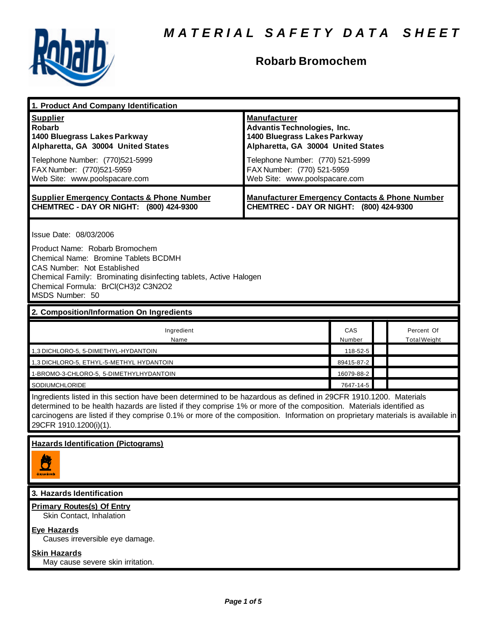

# **Robarb Bromochem**

| 1. Product And Company Identification                                                                                                                                                                                                                                                                                                                                                             |                                                                                                                                                                                                                                    |               |  |                                   |  |
|---------------------------------------------------------------------------------------------------------------------------------------------------------------------------------------------------------------------------------------------------------------------------------------------------------------------------------------------------------------------------------------------------|------------------------------------------------------------------------------------------------------------------------------------------------------------------------------------------------------------------------------------|---------------|--|-----------------------------------|--|
| <b>Supplier</b><br><b>Robarb</b><br>1400 Bluegrass Lakes Parkway<br>Alpharetta, GA 30004 United States<br>Telephone Number: (770)521-5999<br>FAX Number: (770)521-5959<br>Web Site: www.poolspacare.com                                                                                                                                                                                           | <b>Manufacturer</b><br><b>Advantis Technologies, Inc.</b><br>1400 Bluegrass Lakes Parkway<br>Alpharetta, GA 30004 United States<br>Telephone Number: (770) 521-5999<br>FAX Number: (770) 521-5959<br>Web Site: www.poolspacare.com |               |  |                                   |  |
| <b>Supplier Emergency Contacts &amp; Phone Number</b><br>CHEMTREC - DAY OR NIGHT: (800) 424-9300                                                                                                                                                                                                                                                                                                  | <b>Manufacturer Emergency Contacts &amp; Phone Number</b><br>CHEMTREC - DAY OR NIGHT: (800) 424-9300                                                                                                                               |               |  |                                   |  |
| Issue Date: 08/03/2006<br>Product Name: Robarb Bromochem<br>Chemical Name: Bromine Tablets BCDMH<br><b>CAS Number: Not Established</b><br>Chemical Family: Brominating disinfecting tablets, Active Halogen<br>Chemical Formula: BrCl(CH3)2 C3N2O2<br>MSDS Number: 50                                                                                                                             |                                                                                                                                                                                                                                    |               |  |                                   |  |
| 2. Composition/Information On Ingredients                                                                                                                                                                                                                                                                                                                                                         |                                                                                                                                                                                                                                    |               |  |                                   |  |
| Ingredient<br>Name                                                                                                                                                                                                                                                                                                                                                                                |                                                                                                                                                                                                                                    | CAS<br>Number |  | Percent Of<br><b>Total Weight</b> |  |
| 1,3 DICHLORO-5, 5-DIMETHYL-HYDANTOIN                                                                                                                                                                                                                                                                                                                                                              |                                                                                                                                                                                                                                    | 118-52-5      |  |                                   |  |
| 1,3 DICHLORO-5, ETHYL-5-METHYL HYDANTOIN                                                                                                                                                                                                                                                                                                                                                          |                                                                                                                                                                                                                                    | 89415-87-2    |  |                                   |  |
| 1-BROMO-3-CHLORO-5, 5-DIMETHYLHYDANTOIN                                                                                                                                                                                                                                                                                                                                                           |                                                                                                                                                                                                                                    | 16079-88-2    |  |                                   |  |
| <b>SODIUMCHLORIDE</b>                                                                                                                                                                                                                                                                                                                                                                             |                                                                                                                                                                                                                                    | 7647-14-5     |  |                                   |  |
| Ingredients listed in this section have been determined to be hazardous as defined in 29CFR 1910.1200. Materials<br>determined to be health hazards are listed if they comprise 1% or more of the composition. Materials identified as<br>carcinogens are listed if they comprise 0.1% or more of the composition. Information on proprietary materials is available in<br>29CFR 1910.1200(i)(1). |                                                                                                                                                                                                                                    |               |  |                                   |  |
| <b>Hazards Identification (Pictograms)</b>                                                                                                                                                                                                                                                                                                                                                        |                                                                                                                                                                                                                                    |               |  |                                   |  |
| 3. Hazards Identification                                                                                                                                                                                                                                                                                                                                                                         |                                                                                                                                                                                                                                    |               |  |                                   |  |
| <b>Primary Routes(s) Of Entry</b><br>Skin Contact, Inhalation<br><b>Eye Hazards</b><br>Causes irreversible eye damage.<br><b>Skin Hazards</b>                                                                                                                                                                                                                                                     |                                                                                                                                                                                                                                    |               |  |                                   |  |
| May cause severe skin irritation.                                                                                                                                                                                                                                                                                                                                                                 |                                                                                                                                                                                                                                    |               |  |                                   |  |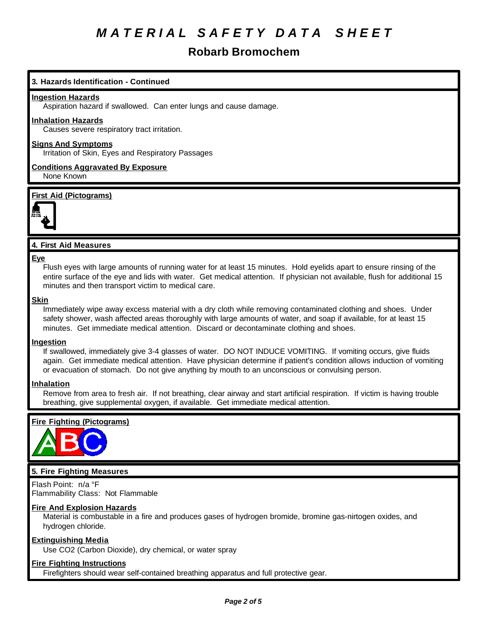## **Robarb Bromochem**

## **3. Hazards Identification - Continued**

#### **Ingestion Hazards**

Aspiration hazard if swallowed. Can enter lungs and cause damage.

## **Inhalation Hazards**

Causes severe respiratory tract irritation.

## **Signs And Symptoms**

Irritation of Skin, Eyes and Respiratory Passages

**Conditions Aggravated By Exposure** None Known

## **First Aid (Pictograms)**



## **4. First Aid Measures**

#### **Eye**

Flush eyes with large amounts of running water for at least 15 minutes. Hold eyelids apart to ensure rinsing of the entire surface of the eye and lids with water. Get medical attention. If physician not available, flush for additional 15 minutes and then transport victim to medical care.

#### **Skin**

Immediately wipe away excess material with a dry cloth while removing contaminated clothing and shoes. Under safety shower, wash affected areas thoroughly with large amounts of water, and soap if available, for at least 15 minutes. Get immediate medical attention. Discard or decontaminate clothing and shoes.

## **Ingestion**

If swallowed, immediately give 3-4 glasses of water. DO NOT INDUCE VOMITING. If vomiting occurs, give fluids again. Get immediate medical attention. Have physician determine if patient's condition allows induction of vomiting or evacuation of stomach. Do not give anything by mouth to an unconscious or convulsing person.

## **Inhalation**

Remove from area to fresh air. If not breathing, clear airway and start artificial respiration. If victim is having trouble breathing, give supplemental oxygen, if available. Get immediate medical attention.

## **Fire Fighting (Pictograms)**



## **5. Fire Fighting Measures**

Flash Point: n/a °F Flammability Class: Not Flammable

## **Fire And Explosion Hazards**

Material is combustable in a fire and produces gases of hydrogen bromide, bromine gas-nirtogen oxides, and hydrogen chloride.

## **Extinguishing Media**

Use CO2 (Carbon Dioxide), dry chemical, or water spray

## **Fire Fighting Instructions**

Firefighters should wear self-contained breathing apparatus and full protective gear.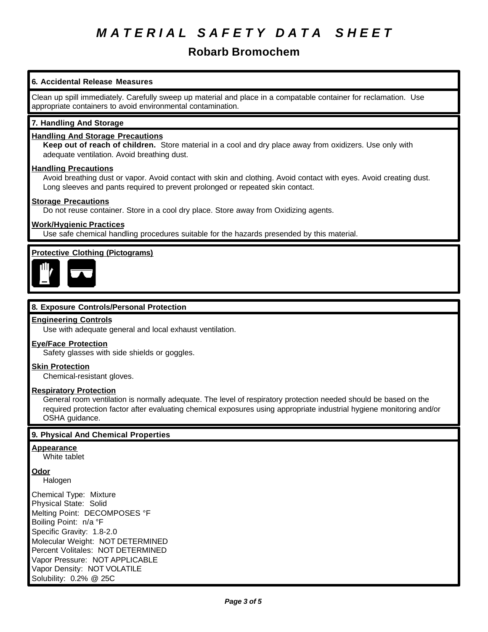## **Robarb Bromochem**

## **6. Accidental Release Measures**

Clean up spill immediately. Carefully sweep up material and place in a compatable container for reclamation. Use appropriate containers to avoid environmental contamination.

## **7. Handling And Storage**

## **Handling And Storage Precautions**

**Keep out of reach of children.** Store material in a cool and dry place away from oxidizers. Use only with adequate ventilation. Avoid breathing dust.

## **Handling Precautions**

Avoid breathing dust or vapor. Avoid contact with skin and clothing. Avoid contact with eyes. Avoid creating dust. Long sleeves and pants required to prevent prolonged or repeated skin contact.

#### **Storage Precautions**

Do not reuse container. Store in a cool dry place. Store away from Oxidizing agents.

## **Work/Hygienic Practices**

Use safe chemical handling procedures suitable for the hazards presended by this material.

## **Protective Clothing (Pictograms)**



## **8. Exposure Controls/Personal Protection**

## **Engineering Controls**

Use with adequate general and local exhaust ventilation.

#### **Eye/Face Protection**

Safety glasses with side shields or goggles.

## **Skin Protection**

Chemical-resistant gloves.

## **Respiratory Protection**

General room ventilation is normally adequate. The level of respiratory protection needed should be based on the required protection factor after evaluating chemical exposures using appropriate industrial hygiene monitoring and/or OSHA guidance.

## **9. Physical And Chemical Properties**

## **Appearance**

White tablet

**Odor**

Halogen

Chemical Type: Mixture Physical State: Solid Melting Point: DECOMPOSES °F Boiling Point: n/a °F Specific Gravity: 1.8-2.0 Molecular Weight: NOT DETERMINED Percent Volitales: NOT DETERMINED Vapor Pressure: NOT APPLICABLE Vapor Density: NOT VOLATILE Solubility: 0.2% @ 25C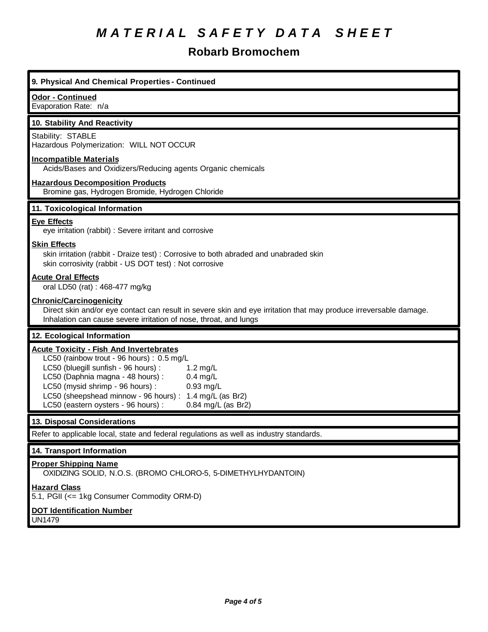## **Robarb Bromochem**

## **9. Physical And Chemical Properties - Continued Odor - Continued** Evaporation Rate: n/a **10. Stability And Reactivity** Stability: STABLE Hazardous Polymerization: WILL NOT OCCUR **Incompatible Materials** Acids/Bases and Oxidizers/Reducing agents Organic chemicals **Hazardous Decomposition Products** Bromine gas, Hydrogen Bromide, Hydrogen Chloride **11. Toxicological Information Eye Effects** eye irritation (rabbit) : Severe irritant and corrosive **Skin Effects** skin irritation (rabbit - Draize test) : Corrosive to both abraded and unabraded skin skin corrosivity (rabbit - US DOT test) : Not corrosive **Acute Oral Effects** oral LD50 (rat) : 468-477 mg/kg **Chronic/Carcinogenicity** Direct skin and/or eye contact can result in severe skin and eye irritation that may produce irreversable damage. Inhalation can cause severe irritation of nose, throat, and lungs **12. Ecological Information Acute Toxicity - Fish And Invertebrates** LC50 (rainbow trout - 96 hours) : 0.5 mg/L LC50 (bluegill sunfish - 96 hours) : 1.2 mg/L LC50 (Daphnia magna - 48 hours) : 0.4 mg/L LC50 (mysid shrimp - 96 hours) : 0.93 mg/L LC50 (sheepshead minnow - 96 hours) : 1.4 mg/L (as Br2) LC50 (eastern oysters - 96 hours) : 0.84 mg/L (as Br2) **13. Disposal Considerations** Refer to applicable local, state and federal regulations as well as industry standards. **14. Transport Information Proper Shipping Name** OXIDIZING SOLID, N.O.S. (BROMO CHLORO-5, 5-DIMETHYLHYDANTOIN) **Hazard Class** 5.1, PGII (<= 1kg Consumer Commodity ORM-D) **DOT Identification Number** UN1479